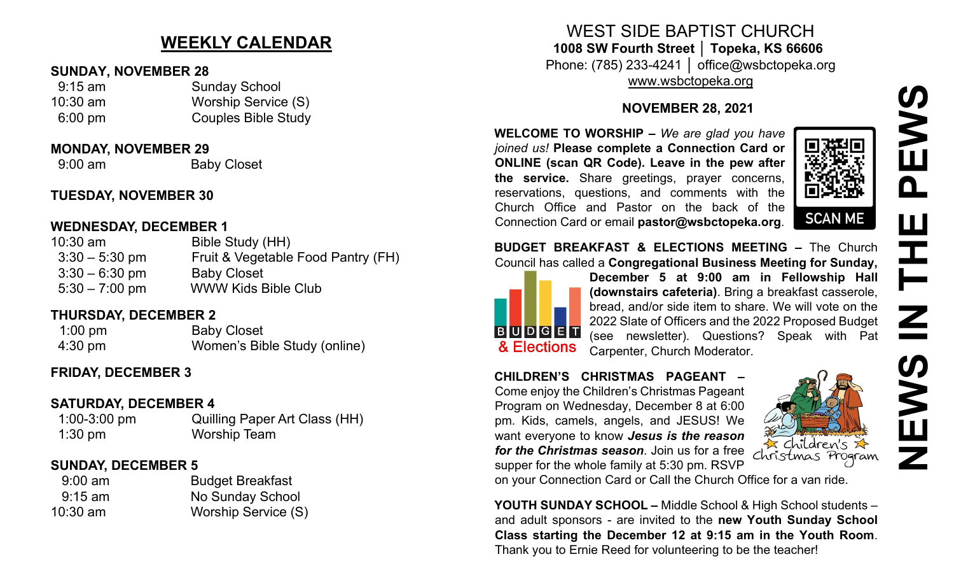# **NEWS IN THE PEWS**EWS <u>ስ</u> Ш F Z  $\mathbf{E}$

# **WEEKLY CALENDAR**

#### **SUNDAY, NOVEMBER 28**

| $9:15$ am         | <b>Sunday School</b>       |
|-------------------|----------------------------|
| $10:30$ am        | Worship Service (S)        |
| $6:00 \text{ pm}$ | <b>Couples Bible Study</b> |

#### **MONDAY, NOVEMBER 29**

9:00 am Baby Closet

## **TUESDAY, NOVEMBER 30**

#### **WEDNESDAY, DECEMBER 1**

| $10:30$ am       | Bible Study (HH)                   |
|------------------|------------------------------------|
| $3:30 - 5:30$ pm | Fruit & Vegetable Food Pantry (FH) |
| $3:30 - 6:30$ pm | <b>Baby Closet</b>                 |
| $5:30 - 7:00$ pm | <b>WWW Kids Bible Club</b>         |

# **THURSDAY, DECEMBER 2**

1:00 pm Baby Closet 4:30 pm Women's Bible Study (online)

# **FRIDAY, DECEMBER 3**

### **SATURDAY, DECEMBER 4**

| $1:00-3:00$ pm | <b>Quilling Paper Art Class (HH)</b> |
|----------------|--------------------------------------|
| $1:30$ pm      | <b>Worship Team</b>                  |

### **SUNDAY, DECEMBER 5**

| <b>Budget Breakfast</b> |
|-------------------------|
| No Sunday School        |
| Worship Service (S)     |
|                         |

# WEST SIDE BAPTIST CHURCH **1008 SW Fourth Street │ Topeka, KS 66606** Phone: (785) 233-4241 │ office@wsbctopeka.org

[www.wsbctopeka.org](http://www.wsbctopeka.org/)

#### **NOVEMBER 28, 2021**

**WELCOME TO WORSHIP –** *We are glad you have joined us!* **Please complete a Connection Card or ONLINE (scan QR Code). Leave in the pew after the service.** Share greetings, prayer concerns, reservations, questions, and comments with the Church Office and Pastor on the back of the Connection Card or email **pastor@wsbctopeka.org**.



#### **BUDGET BREAKFAST & ELECTIONS MEETING –** The Church Council has called a **Congregational Business Meeting for Sunday,**



**December 5 at 9:00 am in Fellowship Hall (downstairs cafeteria)**. Bring a breakfast casserole, bread, and/or side item to share. We will vote on the 2022 Slate of Officers and the 2022 Proposed Budget (see newsletter). Questions? Speak with Pat Carpenter, Church Moderator.

#### **CHILDREN'S CHRISTMAS PAGEANT –** Come enjoy the Children's Christmas Pageant Program on Wednesday, December 8 at 6:00 pm. Kids, camels, angels, and JESUS! We

want everyone to know *Jesus is the reason for the Christmas season*. Join us for a free supper for the whole family at 5:30 pm. RSVP



on your Connection Card or Call the Church Office for a van ride.

**YOUTH SUNDAY SCHOOL –** Middle School & High School students – and adult sponsors - are invited to the **new Youth Sunday School Class starting the December 12 at 9:15 am in the Youth Room**. Thank you to Ernie Reed for volunteering to be the teacher!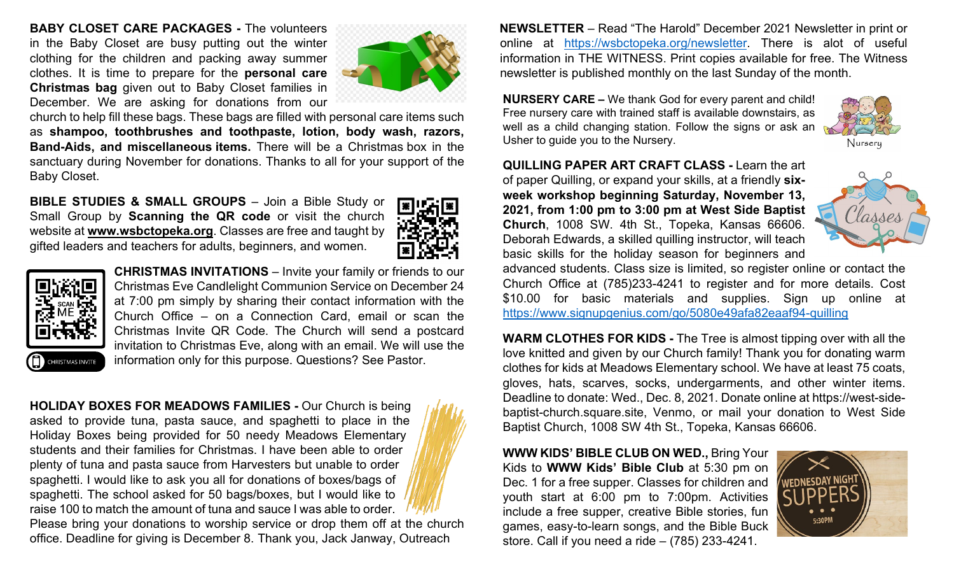**BABY CLOSET CARE PACKAGES -** The volunteers in the Baby Closet are busy putting out the winter clothing for the children and packing away summer clothes. It is time to prepare for the **personal care Christmas bag** given out to Baby Closet families in December. We are asking for donations from our



church to help fill these bags. These bags are filled with personal care items such as **shampoo, toothbrushes and toothpaste, lotion, body wash, razors, Band-Aids, and miscellaneous items.** There will be a Christmas box in the sanctuary during November for donations. Thanks to all for your support of the Baby Closet.

**BIBLE STUDIES & SMALL GROUPS** – Join a Bible Study or Small Group by **Scanning the QR code** or visit the church website at **www.wsbctopeka.org**. Classes are free and taught by gifted leaders and teachers for adults, beginners, and women.





**CHRISTMAS INVITATIONS** – Invite your family or friends to our Christmas Eve Candlelight Communion Service on December 24 at 7:00 pm simply by sharing their contact information with the Church Office – on a Connection Card, email or scan the Christmas Invite QR Code. The Church will send a postcard invitation to Christmas Eve, along with an email. We will use the information only for this purpose. Questions? See Pastor.

CHRISTMAS INVITE

**HOLIDAY BOXES FOR MEADOWS FAMILIES -** Our Church is being asked to provide tuna, pasta sauce, and spaghetti to place in the Holiday Boxes being provided for 50 needy Meadows Elementary students and their families for Christmas. I have been able to order plenty of tuna and pasta sauce from Harvesters but unable to order spaghetti. I would like to ask you all for donations of boxes/bags of spaghetti. The school asked for 50 bags/boxes, but I would like to raise 100 to match the amount of tuna and sauce I was able to order.



Please bring your donations to worship service or drop them off at the church office. Deadline for giving is December 8. Thank you, Jack Janway, Outreach

**NEWSLETTER** – Read "The Harold" December 2021 Newsletter in print or online at [https://wsbctopeka.org/newsletter.](https://wsbctopeka.org/newsletter) There is alot of useful information in THE WITNESS. Print copies available for free. The Witness newsletter is published monthly on the last Sunday of the month.

**NURSERY CARE –** We thank God for every parent and child! Free nursery care with trained staff is available downstairs, as well as a child changing station. Follow the signs or ask an Usher to guide you to the Nursery.



Nursery

**QUILLING PAPER ART CRAFT CLASS -** Learn the art of paper Quilling, or expand your skills, at a friendly **sixweek workshop beginning Saturday, November 13, 2021, from 1:00 pm to 3:00 pm at West Side Baptist Church**, 1008 SW. 4th St., Topeka, Kansas 66606. Deborah Edwards, a skilled quilling instructor, will teach basic skills for the holiday season for beginners and



advanced students. Class size is limited, so register online or contact the Church Office at (785)233-4241 to register and for more details. Cost \$10.00 for basic materials and supplies. Sign up online at [https://www.signupgenius.com/go/5080e49afa82eaaf94](https://www.signupgenius.com/go/5080e49afa82eaaf94-quilling)-quilling

**WARM CLOTHES FOR KIDS -** The Tree is almost tipping over with all the love knitted and given by our Church family! Thank you for donating warm clothes for kids at Meadows Elementary school. We have at least 75 coats, gloves, hats, scarves, socks, undergarments, and other winter items. Deadline to donate: Wed., Dec. 8, 2021. Donate online at https://west-sidebaptist-church.square.site, Venmo, or mail your donation to West Side Baptist Church, 1008 SW 4th St., Topeka, Kansas 66606.

**WWW KIDS' BIBLE CLUB ON WED.,** Bring Your Kids to **WWW Kids' Bible Club** at 5:30 pm on Dec. 1 for a free supper. Classes for children and youth start at 6:00 pm to 7:00pm. Activities include a free supper, creative Bible stories, fun games, easy-to-learn songs, and the Bible Buck store. Call if you need a ride – (785) 233-4241.